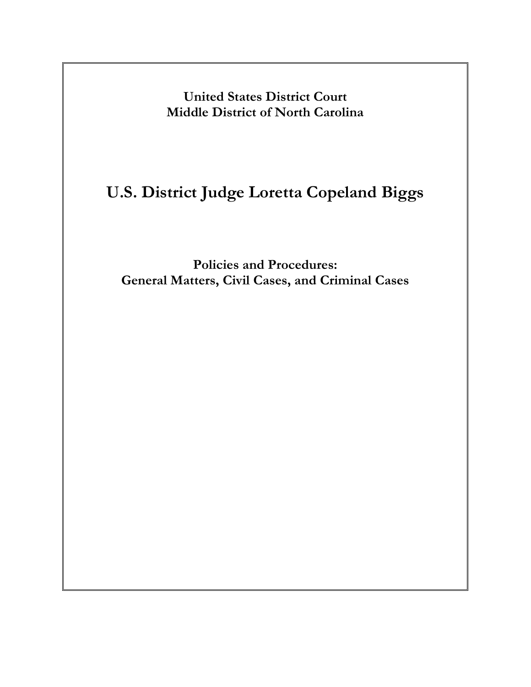<span id="page-0-0"></span>**United States District Court Middle District of North Carolina**

# **U.S. District Judge Loretta Copeland Biggs**

**Policies and Procedures: General Matters, Civil Cases, and Criminal Cases**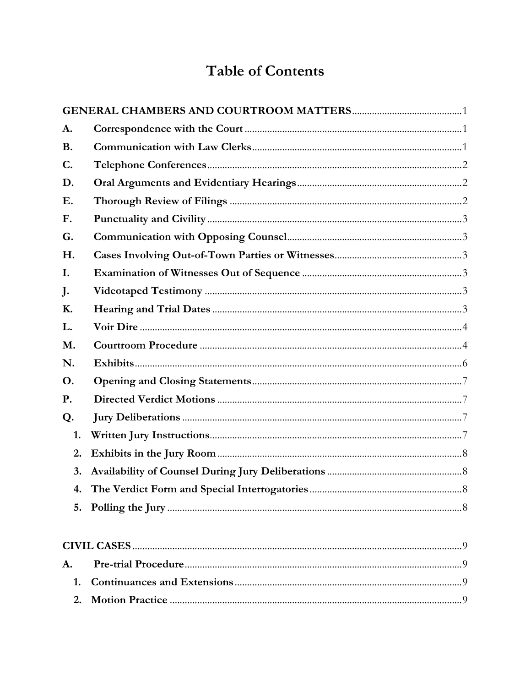# **Table of Contents**

| A.          |             |          |
|-------------|-------------|----------|
| <b>B.</b>   |             |          |
| $C_{\cdot}$ |             |          |
| D.          |             |          |
| <b>E.</b>   |             |          |
| F.          |             |          |
| G.          |             |          |
| H.          |             |          |
| I.          |             |          |
| J.          |             |          |
| <b>K.</b>   |             |          |
| L.          |             |          |
| M.          |             |          |
| N.          |             |          |
| <b>O.</b>   |             |          |
| P.          |             |          |
| Q.          |             |          |
| 1.          |             |          |
| 2.          |             |          |
| 3.          |             |          |
| 4.          |             |          |
| 5.          |             |          |
|             | CIVII CASES | $\Omega$ |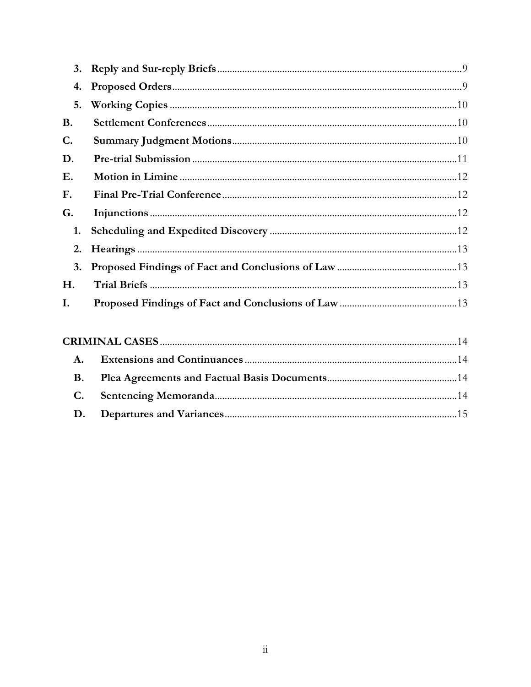| 4.        |  |
|-----------|--|
| 5.        |  |
| <b>B.</b> |  |
| C.        |  |
| D.        |  |
| Ε.        |  |
| F.        |  |
| G.        |  |
| 1.        |  |
| 2.        |  |
| 3.        |  |
| Н.        |  |
| I.        |  |

| <b>B.</b> |  |
|-----------|--|
|           |  |
|           |  |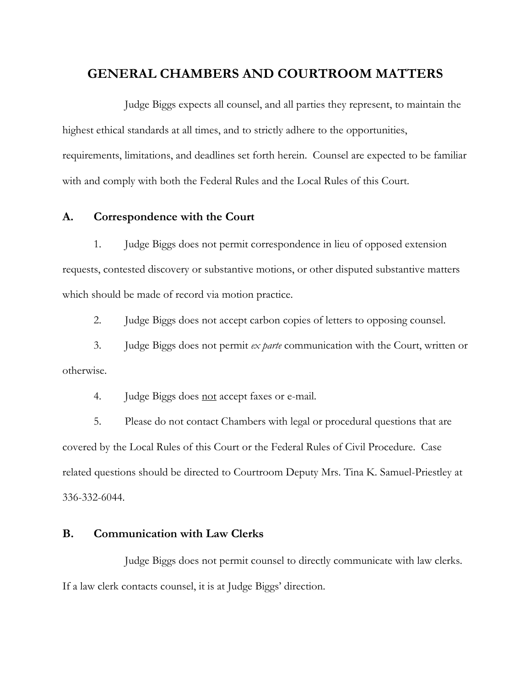# <span id="page-3-0"></span>**GENERAL CHAMBERS AND COURTROOM MATTERS**

Judge Biggs expects all counsel, and all parties they represent, to maintain the highest ethical standards at all times, and to strictly adhere to the opportunities, requirements, limitations, and deadlines set forth herein. Counsel are expected to be familiar with and comply with both the Federal Rules and the Local Rules of this Court.

### <span id="page-3-1"></span>**A. Correspondence with the Court**

1. Judge Biggs does not permit correspondence in lieu of opposed extension requests, contested discovery or substantive motions, or other disputed substantive matters which should be made of record via motion practice.

2. Judge Biggs does not accept carbon copies of letters to opposing counsel.

3. Judge Biggs does not permit *ex parte* communication with the Court, written or otherwise.

4. Judge Biggs does not accept faxes or e-mail.

5. Please do not contact Chambers with legal or procedural questions that are covered by the Local Rules of this Court or the Federal Rules of Civil Procedure. Case related questions should be directed to Courtroom Deputy Mrs. Tina K. Samuel-Priestley at 336-332-6044.

#### <span id="page-3-2"></span>**B. Communication with Law Clerks**

Judge Biggs does not permit counsel to directly communicate with law clerks. If a law clerk contacts counsel, it is at Judge Biggs' direction.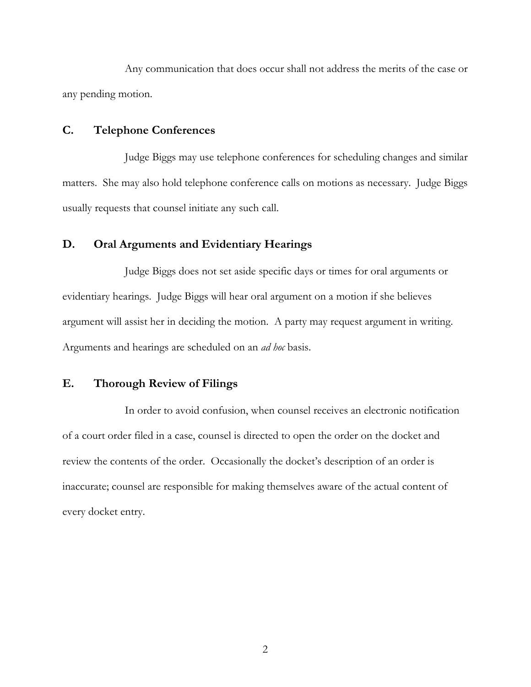Any communication that does occur shall not address the merits of the case or any pending motion.

## <span id="page-4-0"></span>**C. Telephone Conferences**

Judge Biggs may use telephone conferences for scheduling changes and similar matters. She may also hold telephone conference calls on motions as necessary. Judge Biggs usually requests that counsel initiate any such call.

## <span id="page-4-1"></span>**D. Oral Arguments and Evidentiary Hearings**

Judge Biggs does not set aside specific days or times for oral arguments or evidentiary hearings. Judge Biggs will hear oral argument on a motion if she believes argument will assist her in deciding the motion. A party may request argument in writing. Arguments and hearings are scheduled on an *ad hoc* basis.

#### <span id="page-4-2"></span>**E. Thorough Review of Filings**

In order to avoid confusion, when counsel receives an electronic notification of a court order filed in a case, counsel is directed to open the order on the docket and review the contents of the order. Occasionally the docket's description of an order is inaccurate; counsel are responsible for making themselves aware of the actual content of every docket entry.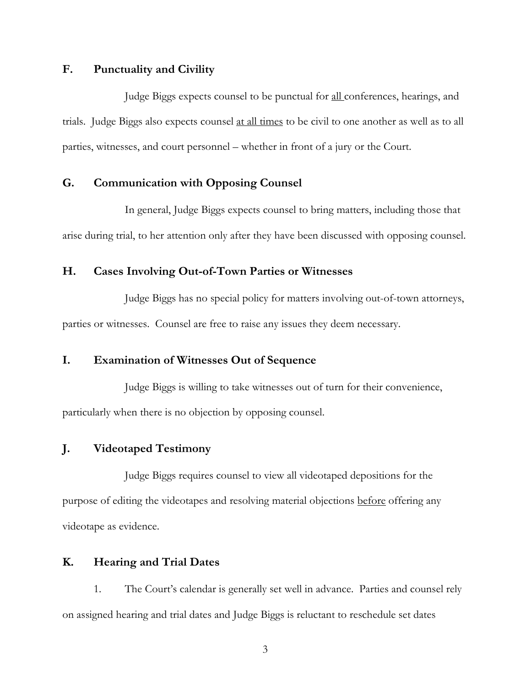## <span id="page-5-0"></span>**F. Punctuality and Civility**

Judge Biggs expects counsel to be punctual for all conferences, hearings, and trials. Judge Biggs also expects counsel at all times to be civil to one another as well as to all parties, witnesses, and court personnel – whether in front of a jury or the Court.

## <span id="page-5-1"></span>**G. Communication with Opposing Counsel**

In general, Judge Biggs expects counsel to bring matters, including those that arise during trial, to her attention only after they have been discussed with opposing counsel.

#### <span id="page-5-2"></span>**H. Cases Involving Out-of-Town Parties or Witnesses**

Judge Biggs has no special policy for matters involving out-of-town attorneys, parties or witnesses. Counsel are free to raise any issues they deem necessary.

### <span id="page-5-3"></span>**I. Examination of Witnesses Out of Sequence**

Judge Biggs is willing to take witnesses out of turn for their convenience, particularly when there is no objection by opposing counsel.

### <span id="page-5-4"></span>**J. Videotaped Testimony**

Judge Biggs requires counsel to view all videotaped depositions for the purpose of editing the videotapes and resolving material objections before offering any videotape as evidence.

### <span id="page-5-5"></span>**K. [Hearing and Trial Dates](#page-0-0)**

1. The Court's calendar is generally set well in advance. Parties and counsel rely on assigned hearing and trial dates and Judge Biggs is reluctant to reschedule set dates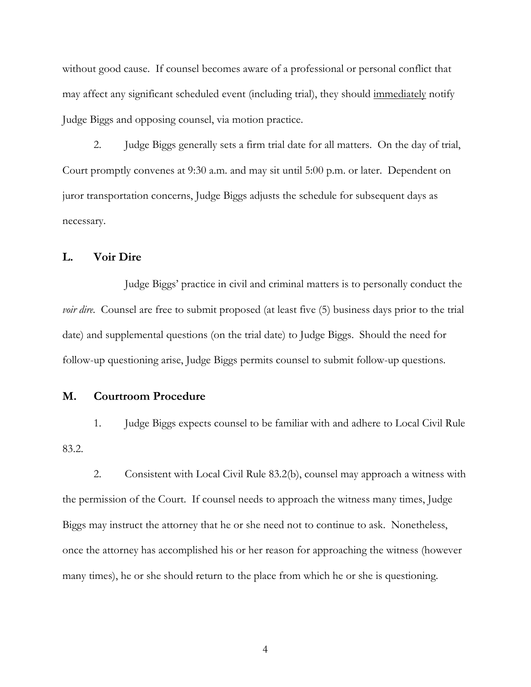without good cause. If counsel becomes aware of a professional or personal conflict that may affect any significant scheduled event (including trial), they should immediately notify Judge Biggs and opposing counsel, via motion practice.

2. Judge Biggs generally sets a firm trial date for all matters. On the day of trial, Court promptly convenes at 9:30 a.m. and may sit until 5:00 p.m. or later. Dependent on juror transportation concerns, Judge Biggs adjusts the schedule for subsequent days as necessary.

#### <span id="page-6-0"></span>**L. Voir Dire**

Judge Biggs' practice in civil and criminal matters is to personally conduct the *voir dire*. Counsel are free to submit proposed (at least five (5) business days prior to the trial date) and supplemental questions (on the trial date) to Judge Biggs. Should the need for follow-up questioning arise, Judge Biggs permits counsel to submit follow-up questions.

#### <span id="page-6-1"></span>**M. Courtroom Procedure**

1. Judge Biggs expects counsel to be familiar with and adhere to Local Civil Rule 83.2.

2. Consistent with Local Civil Rule 83.2(b), counsel may approach a witness with the permission of the Court. If counsel needs to approach the witness many times, Judge Biggs may instruct the attorney that he or she need not to continue to ask. Nonetheless, once the attorney has accomplished his or her reason for approaching the witness (however many times), he or she should return to the place from which he or she is questioning.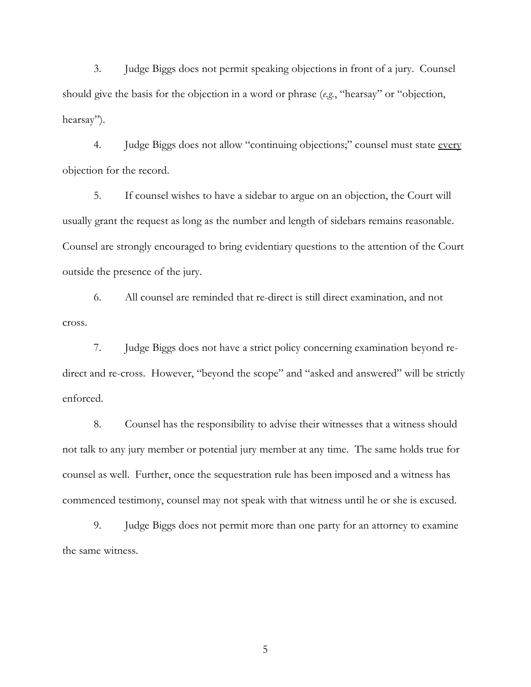3. Judge Biggs does not permit speaking objections in front of a jury. Counsel should give the basis for the objection in a word or phrase (*e.g.*, "hearsay" or "objection, hearsay").

4. Judge Biggs does not allow "continuing objections;" counsel must state every objection for the record.

5. If counsel wishes to have a sidebar to argue on an objection, the Court will usually grant the request as long as the number and length of sidebars remains reasonable. Counsel are strongly encouraged to bring evidentiary questions to the attention of the Court outside the presence of the jury.

6. All counsel are reminded that re-direct is still direct examination, and not cross.

7. Judge Biggs does not have a strict policy concerning examination beyond redirect and re-cross. However, "beyond the scope" and "asked and answered" will be strictly enforced.

8. Counsel has the responsibility to advise their witnesses that a witness should not talk to any jury member or potential jury member at any time. The same holds true for counsel as well. Further, once the sequestration rule has been imposed and a witness has commenced testimony, counsel may not speak with that witness until he or she is excused.

9. Judge Biggs does not permit more than one party for an attorney to examine the same witness.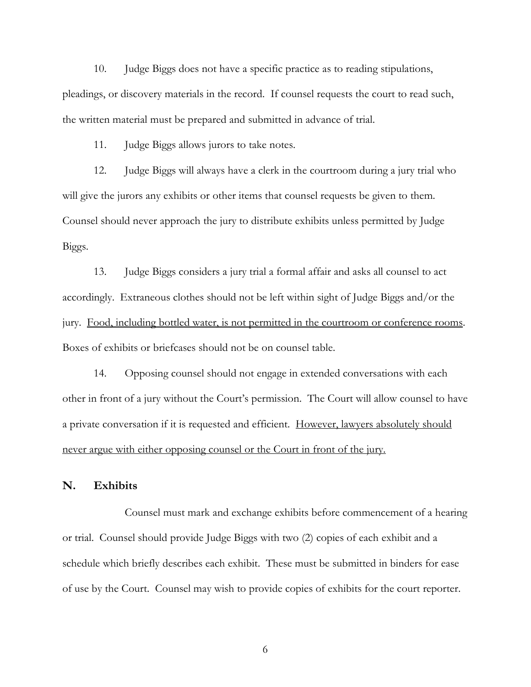10. Judge Biggs does not have a specific practice as to reading stipulations, pleadings, or discovery materials in the record. If counsel requests the court to read such, the written material must be prepared and submitted in advance of trial.

11. Judge Biggs allows jurors to take notes.

12. Judge Biggs will always have a clerk in the courtroom during a jury trial who will give the jurors any exhibits or other items that counsel requests be given to them. Counsel should never approach the jury to distribute exhibits unless permitted by Judge Biggs.

13. Judge Biggs considers a jury trial a formal affair and asks all counsel to act accordingly. Extraneous clothes should not be left within sight of Judge Biggs and/or the jury. Food, including bottled water, is not permitted in the courtroom or conference rooms. Boxes of exhibits or briefcases should not be on counsel table.

14. Opposing counsel should not engage in extended conversations with each other in front of a jury without the Court's permission. The Court will allow counsel to have a private conversation if it is requested and efficient. However, lawyers absolutely should never argue with either opposing counsel or the Court in front of the jury.

#### <span id="page-8-0"></span>**N. Exhibits**

Counsel must mark and exchange exhibits before commencement of a hearing or trial. Counsel should provide Judge Biggs with two (2) copies of each exhibit and a schedule which briefly describes each exhibit. These must be submitted in binders for ease of use by the Court. Counsel may wish to provide copies of exhibits for the court reporter.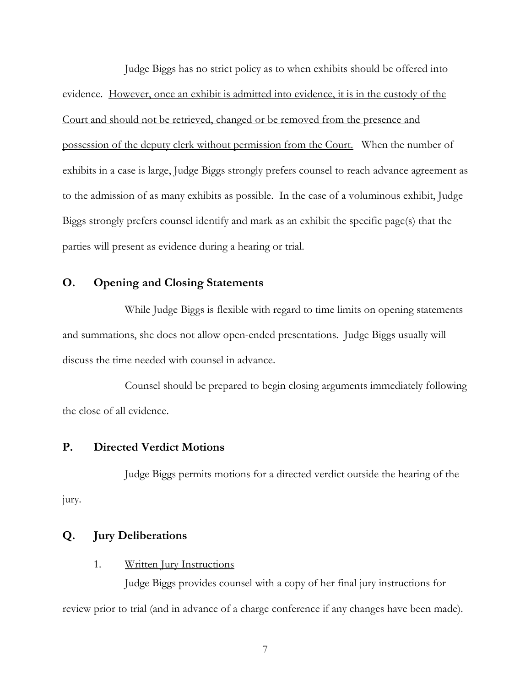Judge Biggs has no strict policy as to when exhibits should be offered into evidence. However, once an exhibit is admitted into evidence, it is in the custody of the Court and should not be retrieved, changed or be removed from the presence and possession of the deputy clerk without permission from the Court. When the number of exhibits in a case is large, Judge Biggs strongly prefers counsel to reach advance agreement as to the admission of as many exhibits as possible. In the case of a voluminous exhibit, Judge Biggs strongly prefers counsel identify and mark as an exhibit the specific page(s) that the parties will present as evidence during a hearing or trial.

## <span id="page-9-0"></span>**O. Opening and Closing Statements**

While Judge Biggs is flexible with regard to time limits on opening statements and summations, she does not allow open-ended presentations. Judge Biggs usually will discuss the time needed with counsel in advance.

Counsel should be prepared to begin closing arguments immediately following the close of all evidence.

#### <span id="page-9-1"></span>**P. Directed Verdict Motions**

Judge Biggs permits motions for a directed verdict outside the hearing of the jury.

#### <span id="page-9-2"></span>**Q. Jury Deliberations**

<span id="page-9-3"></span>1. Written Jury Instructions

Judge Biggs provides counsel with a copy of her final jury instructions for review prior to trial (and in advance of a charge conference if any changes have been made).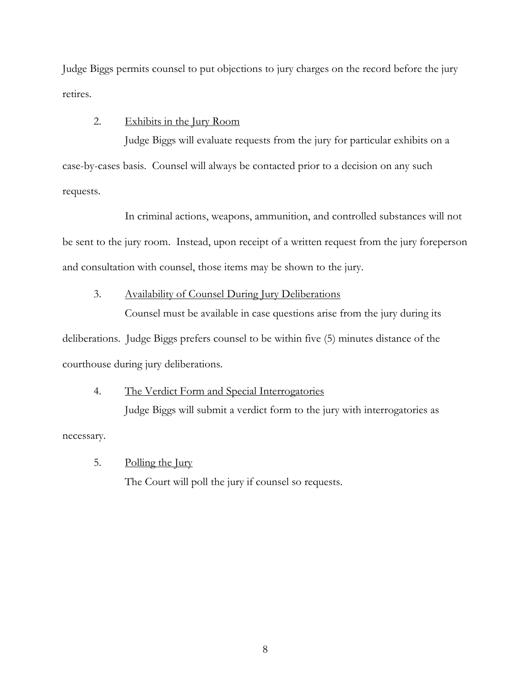Judge Biggs permits counsel to put objections to jury charges on the record before the jury retires.

#### <span id="page-10-0"></span>2. Exhibits in the Jury Room

Judge Biggs will evaluate requests from the jury for particular exhibits on a case-by-cases basis. Counsel will always be contacted prior to a decision on any such requests.

In criminal actions, weapons, ammunition, and controlled substances will not be sent to the jury room. Instead, upon receipt of a written request from the jury foreperson and consultation with counsel, those items may be shown to the jury.

## <span id="page-10-1"></span>3. Availability of Counsel During Jury Deliberations

Counsel must be available in case questions arise from the jury during its deliberations. Judge Biggs prefers counsel to be within five (5) minutes distance of the courthouse during jury deliberations.

# <span id="page-10-2"></span>4. The Verdict Form and Special Interrogatories Judge Biggs will submit a verdict form to the jury with interrogatories as

necessary.

## <span id="page-10-3"></span>5. Polling the Jury

The Court will poll the jury if counsel so requests.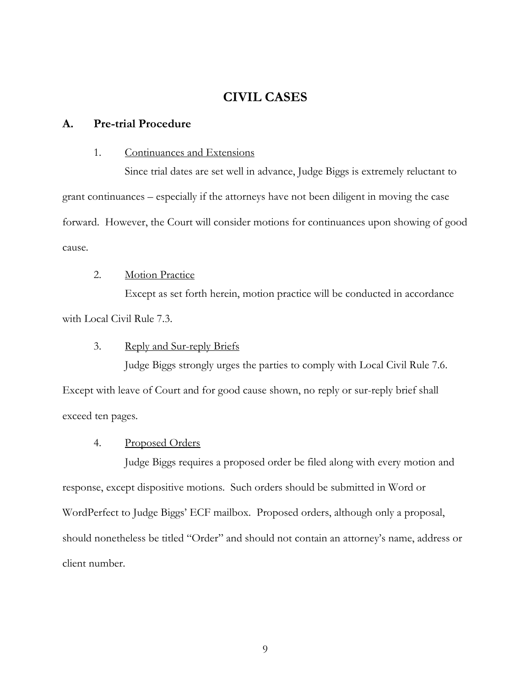# <span id="page-11-0"></span>**CIVIL CASES**

#### <span id="page-11-1"></span>**A. Pre-trial Procedure**

#### <span id="page-11-2"></span>1. Continuances and Extensions

Since trial dates are set well in advance, Judge Biggs is extremely reluctant to grant continuances – especially if the attorneys have not been diligent in moving the case forward. However, the Court will consider motions for continuances upon showing of good cause.

### <span id="page-11-3"></span>2. Motion Practice

Except as set forth herein, motion practice will be conducted in accordance with Local Civil Rule 7.3.

#### <span id="page-11-4"></span>3. Reply and Sur-reply Briefs

Judge Biggs strongly urges the parties to comply with Local Civil Rule 7.6. Except with leave of Court and for good cause shown, no reply or sur-reply brief shall exceed ten pages.

#### <span id="page-11-5"></span>4. Proposed Orders

Judge Biggs requires a proposed order be filed along with every motion and response, except dispositive motions. Such orders should be submitted in Word or WordPerfect to Judge Biggs' ECF mailbox. Proposed orders, although only a proposal, should nonetheless be titled "Order" and should not contain an attorney's name, address or client number.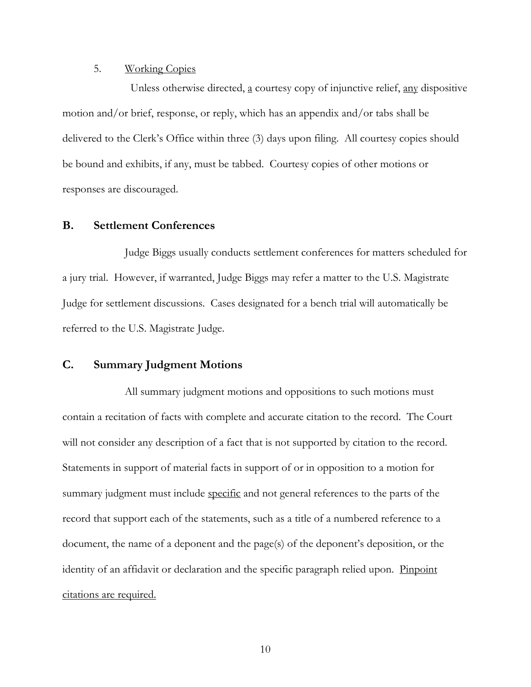#### <span id="page-12-0"></span>5. Working Copies

 Unless otherwise directed, a courtesy copy of injunctive relief, any dispositive motion and/or brief, response, or reply, which has an appendix and/or tabs shall be delivered to the Clerk's Office within three (3) days upon filing. All courtesy copies should be bound and exhibits, if any, must be tabbed. Courtesy copies of other motions or responses are discouraged.

#### <span id="page-12-1"></span>**B. Settlement Conferences**

Judge Biggs usually conducts settlement conferences for matters scheduled for a jury trial. However, if warranted, Judge Biggs may refer a matter to the U.S. Magistrate Judge for settlement discussions. Cases designated for a bench trial will automatically be referred to the U.S. Magistrate Judge.

#### <span id="page-12-2"></span>**C. Summary Judgment Motions**

All summary judgment motions and oppositions to such motions must contain a recitation of facts with complete and accurate citation to the record. The Court will not consider any description of a fact that is not supported by citation to the record. Statements in support of material facts in support of or in opposition to a motion for summary judgment must include specific and not general references to the parts of the record that support each of the statements, such as a title of a numbered reference to a document, the name of a deponent and the page(s) of the deponent's deposition, or the identity of an affidavit or declaration and the specific paragraph relied upon. Pinpoint citations are required.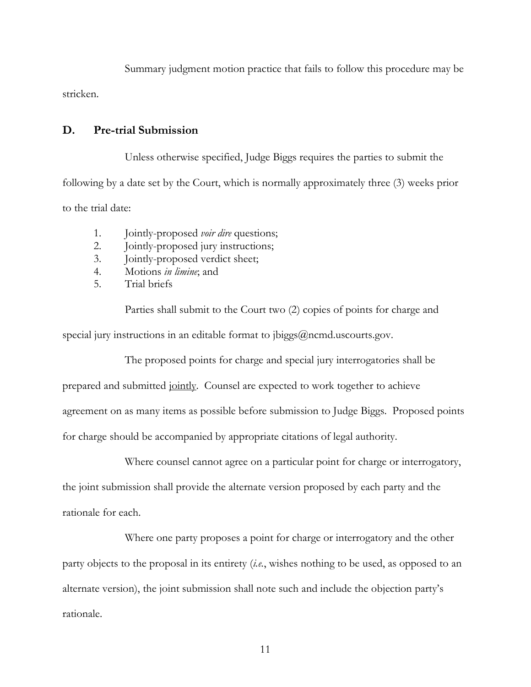Summary judgment motion practice that fails to follow this procedure may be

stricken.

## <span id="page-13-0"></span>**D. Pre-trial Submission**

Unless otherwise specified, Judge Biggs requires the parties to submit the following by a date set by the Court, which is normally approximately three (3) weeks prior to the trial date:

1. Jointly-proposed *voir dire* questions;

- 2. Jointly-proposed jury instructions;
- 3. Jointly-proposed verdict sheet;
- 4. Motions *in limine*; and
- 5. Trial briefs

Parties shall submit to the Court two (2) copies of points for charge and special jury instructions in an editable format to  $ibiggs@ncmd$ .uscourts.gov.

The proposed points for charge and special jury interrogatories shall be prepared and submitted jointly. Counsel are expected to work together to achieve agreement on as many items as possible before submission to Judge Biggs. Proposed points

for charge should be accompanied by appropriate citations of legal authority.

Where counsel cannot agree on a particular point for charge or interrogatory, the joint submission shall provide the alternate version proposed by each party and the rationale for each.

Where one party proposes a point for charge or interrogatory and the other party objects to the proposal in its entirety (*i.e.*, wishes nothing to be used, as opposed to an alternate version), the joint submission shall note such and include the objection party's rationale.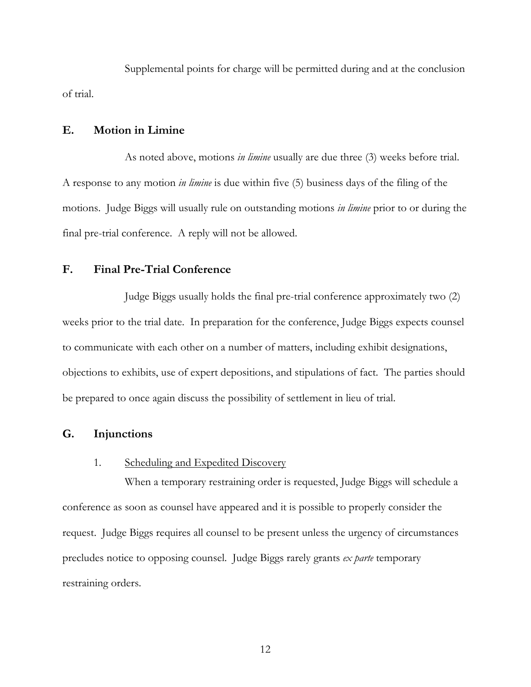Supplemental points for charge will be permitted during and at the conclusion of trial.

#### <span id="page-14-0"></span>**E. Motion in Limine**

As noted above, motions *in limine* usually are due three (3) weeks before trial. A response to any motion *in limine* is due within five (5) business days of the filing of the motions. Judge Biggs will usually rule on outstanding motions *in limine* prior to or during the final pre-trial conference. A reply will not be allowed.

#### <span id="page-14-1"></span>**F. Final Pre-Trial Conference**

Judge Biggs usually holds the final pre-trial conference approximately two (2) weeks prior to the trial date. In preparation for the conference, Judge Biggs expects counsel to communicate with each other on a number of matters, including exhibit designations, objections to exhibits, use of expert depositions, and stipulations of fact. The parties should be prepared to once again discuss the possibility of settlement in lieu of trial.

#### <span id="page-14-2"></span>**G. Injunctions**

#### <span id="page-14-3"></span>1. Scheduling and Expedited Discovery

When a temporary restraining order is requested, Judge Biggs will schedule a conference as soon as counsel have appeared and it is possible to properly consider the request. Judge Biggs requires all counsel to be present unless the urgency of circumstances precludes notice to opposing counsel. Judge Biggs rarely grants *ex parte* temporary restraining orders.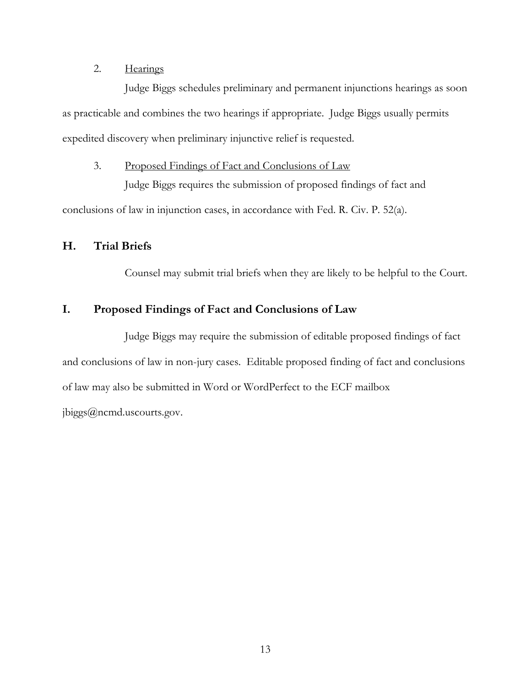## <span id="page-15-0"></span>2. Hearings

Judge Biggs schedules preliminary and permanent injunctions hearings as soon as practicable and combines the two hearings if appropriate. Judge Biggs usually permits expedited discovery when preliminary injunctive relief is requested.

## <span id="page-15-1"></span>3. Proposed Findings of Fact and Conclusions of Law

Judge Biggs requires the submission of proposed findings of fact and conclusions of law in injunction cases, in accordance with Fed. R. Civ. P. 52(a).

### <span id="page-15-2"></span>**H. Trial Briefs**

Counsel may submit trial briefs when they are likely to be helpful to the Court.

## <span id="page-15-3"></span>**I. Proposed Findings of Fact and Conclusions of Law**

 Judge Biggs may require the submission of editable proposed findings of fact and conclusions of law in non-jury cases. Editable proposed finding of fact and conclusions of law may also be submitted in Word or WordPerfect to the ECF mailbox [jbiggs@ncmd.uscourts.gov.](mailto:jbiggs@ncmd.uscourts.gov)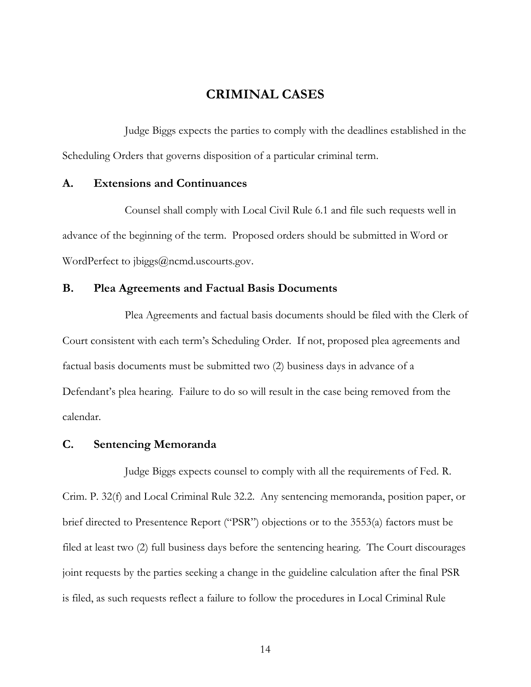## <span id="page-16-0"></span>**CRIMINAL CASES**

Judge Biggs expects the parties to comply with the deadlines established in the Scheduling Orders that governs disposition of a particular criminal term.

#### <span id="page-16-1"></span>**A. Extensions and Continuances**

Counsel shall comply with Local Civil Rule 6.1 and file such requests well in advance of the beginning of the term. Proposed orders should be submitted in Word or WordPerfect to [jbiggs@ncmd.uscourts.gov.](mailto:jbiggs@ncmd.uscourts.gov)

#### <span id="page-16-2"></span>**B. Plea Agreements and Factual Basis Documents**

Plea Agreements and factual basis documents should be filed with the Clerk of Court consistent with each term's Scheduling Order. If not, proposed plea agreements and factual basis documents must be submitted two (2) business days in advance of a Defendant's plea hearing. Failure to do so will result in the case being removed from the calendar.

## <span id="page-16-3"></span>**C. Sentencing Memoranda**

Judge Biggs expects counsel to comply with all the requirements of Fed. R. Crim. P. 32(f) and Local Criminal Rule 32.2. Any sentencing memoranda, position paper, or brief directed to Presentence Report ("PSR") objections or to the 3553(a) factors must be filed at least two (2) full business days before the sentencing hearing. The Court discourages joint requests by the parties seeking a change in the guideline calculation after the final PSR is filed, as such requests reflect a failure to follow the procedures in Local Criminal Rule